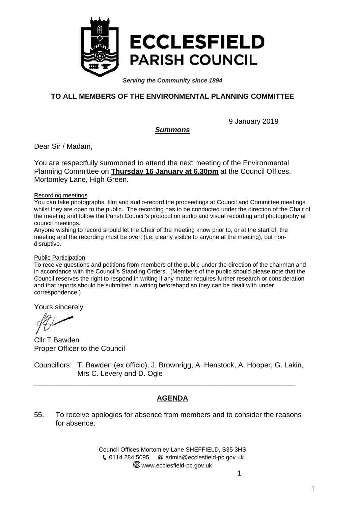

*Serving the Community since 1894*

## **TO ALL MEMBERS OF THE ENVIRONMENTAL PLANNING COMMITTEE**

9 January 2019

#### *Summons*

Dear Sir / Madam,

You are respectfully summoned to attend the next meeting of the Environmental Planning Committee on **Thursday 16 January at 6.30pm** at the Council Offices, Mortomley Lane, High Green.

#### Recording meetings

You can take photographs, film and audio-record the proceedings at Council and Committee meetings whilst they are open to the public. The recording has to be conducted under the direction of the Chair of the meeting and follow the Parish Council's protocol on audio and visual recording and photography at council meetings.

Anyone wishing to record should let the Chair of the meeting know prior to, or at the start of, the meeting and the recording must be overt (i.e. clearly visible to anyone at the meeting), but nondisruptive.

#### Public Participation

To receive questions and petitions from members of the public under the direction of the chairman and in accordance with the Council's Standing Orders. (Members of the public should please note that the Council reserves the right to respond in writing if any matter requires further research or consideration and that reports should be submitted in writing beforehand so they can be dealt with under correspondence.)

Yours sincerely

Cllr T Bawden Proper Officer to the Council

Councillors: T. Bawden (ex officio), J. Brownrigg, A. Henstock, A. Hooper, G. Lakin, Mrs C. Levery and D. Ogle

\_\_\_\_\_\_\_\_\_\_\_\_\_\_\_\_\_\_\_\_\_\_\_\_\_\_\_\_\_\_\_\_\_\_\_\_\_\_\_\_\_\_\_\_\_\_\_\_\_\_\_\_\_\_\_\_\_\_\_\_\_\_\_\_\_

#### **AGENDA**

55. To receive apologies for absence from members and to consider the reasons for absence.

> Council Offices Mortomley Lane SHEFFIELD, S35 3HS 0114 284 5095 @ admin@ecclesfield-pc.gov.uk www.ecclesfield-pc.gov.uk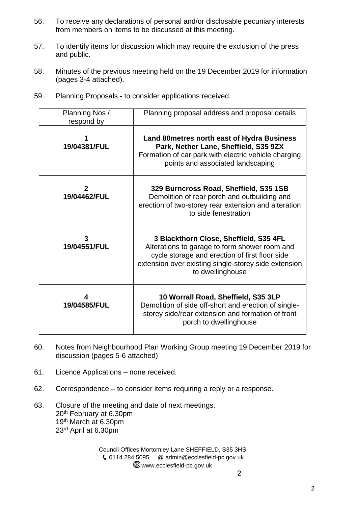- 56. To receive any declarations of personal and/or disclosable pecuniary interests from members on items to be discussed at this meeting.
- 57. To identify items for discussion which may require the exclusion of the press and public.
- 58. Minutes of the previous meeting held on the 19 December 2019 for information (pages 3-4 attached).
- 59. Planning Proposals to consider applications received.

| Planning Nos /<br>respond by | Planning proposal address and proposal details                                                                                                                                                                        |
|------------------------------|-----------------------------------------------------------------------------------------------------------------------------------------------------------------------------------------------------------------------|
| 19/04381/FUL                 | <b>Land 80 metres north east of Hydra Business</b><br>Park, Nether Lane, Sheffield, S35 9ZX<br>Formation of car park with electric vehicle charging<br>points and associated landscaping                              |
| $\mathbf{2}$<br>19/04462/FUL | 329 Burncross Road, Sheffield, S35 1SB<br>Demolition of rear porch and outbuilding and<br>erection of two-storey rear extension and alteration<br>to side fenestration                                                |
| 3<br>19/04551/FUL            | 3 Blackthorn Close, Sheffield, S35 4FL<br>Alterations to garage to form shower room and<br>cycle storage and erection of first floor side<br>extension over existing single-storey side extension<br>to dwellinghouse |
| 4<br>19/04585/FUL            | 10 Worrall Road, Sheffield, S35 3LP<br>Demolition of side off-short and erection of single-<br>storey side/rear extension and formation of front<br>porch to dwellinghouse                                            |

- 60. Notes from Neighbourhood Plan Working Group meeting 19 December 2019 for discussion (pages 5-6 attached)
- 61. Licence Applications none received.
- 62. Correspondence to consider items requiring a reply or a response.
- 63. Closure of the meeting and date of next meetings. 20th February at 6.30pm 19th March at 6.30pm 23rd April at 6.30pm

Council Offices Mortomley Lane SHEFFIELD, S35 3HS 0114 284 5095 @ admin@ecclesfield-pc.gov.uk **W**ww.ecclesfield-pc.gov.uk 2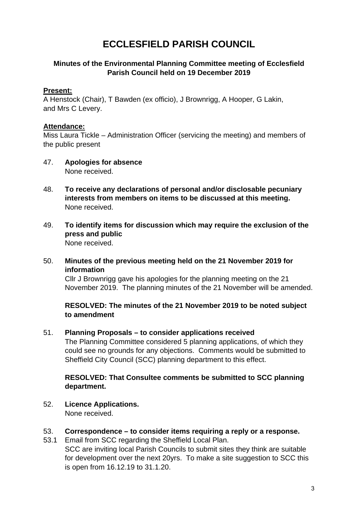# **ECCLESFIELD PARISH COUNCIL**

#### **Minutes of the Environmental Planning Committee meeting of Ecclesfield Parish Council held on 19 December 2019**

#### **Present:**

A Henstock (Chair), T Bawden (ex officio), J Brownrigg, A Hooper, G Lakin, and Mrs C Levery.

#### **Attendance:**

Miss Laura Tickle – Administration Officer (servicing the meeting) and members of the public present

- 47. **Apologies for absence**  None received.
- 48. **To receive any declarations of personal and/or disclosable pecuniary interests from members on items to be discussed at this meeting.**  None received.
- 49. **To identify items for discussion which may require the exclusion of the press and public**  None received.

#### 50. **Minutes of the previous meeting held on the 21 November 2019 for information**

Cllr J Brownrigg gave his apologies for the planning meeting on the 21 November 2019. The planning minutes of the 21 November will be amended.

**RESOLVED: The minutes of the 21 November 2019 to be noted subject to amendment** 

#### 51. **Planning Proposals – to consider applications received**

The Planning Committee considered 5 planning applications, of which they could see no grounds for any objections. Comments would be submitted to Sheffield City Council (SCC) planning department to this effect.

#### **RESOLVED: That Consultee comments be submitted to SCC planning department.**

52. **Licence Applications.**

None received.

- 53. **Correspondence to consider items requiring a reply or a response.**
- 53.1 Email from SCC regarding the Sheffield Local Plan. SCC are inviting local Parish Councils to submit sites they think are suitable for development over the next 20yrs. To make a site suggestion to SCC this is open from 16.12.19 to 31.1.20.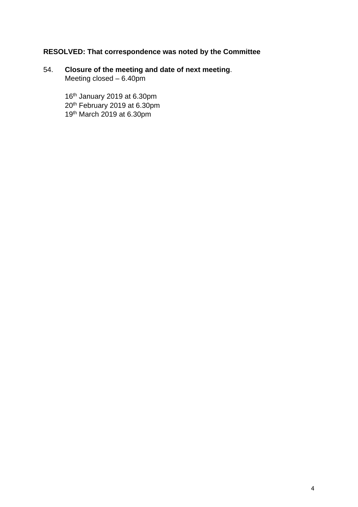## **RESOLVED: That correspondence was noted by the Committee**

#### 54. **Closure of the meeting and date of next meeting**. Meeting closed – 6.40pm

16th January 2019 at 6.30pm 20<sup>th</sup> February 2019 at 6.30pm 19th March 2019 at 6.30pm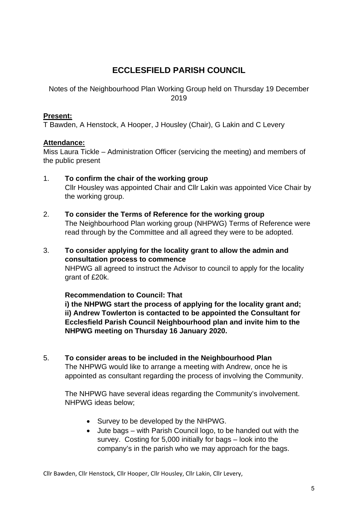## **ECCLESFIELD PARISH COUNCIL**

Notes of the Neighbourhood Plan Working Group held on Thursday 19 December 2019

#### **Present:**

T Bawden, A Henstock, A Hooper, J Housley (Chair), G Lakin and C Levery

#### **Attendance:**

Miss Laura Tickle – Administration Officer (servicing the meeting) and members of the public present

- 1. **To confirm the chair of the working group**  Cllr Housley was appointed Chair and Cllr Lakin was appointed Vice Chair by the working group.
- 2. **To consider the Terms of Reference for the working group**  The Neighbourhood Plan working group (NHPWG) Terms of Reference were read through by the Committee and all agreed they were to be adopted.
- 3. **To consider applying for the locality grant to allow the admin and consultation process to commence**  NHPWG all agreed to instruct the Advisor to council to apply for the locality grant of £20k.

**Recommendation to Council: That** 

 **i) the NHPWG start the process of applying for the locality grant and; ii) Andrew Towlerton is contacted to be appointed the Consultant for Ecclesfield Parish Council Neighbourhood plan and invite him to the NHPWG meeting on Thursday 16 January 2020.**

5. **To consider areas to be included in the Neighbourhood Plan**  The NHPWG would like to arrange a meeting with Andrew, once he is appointed as consultant regarding the process of involving the Community.

The NHPWG have several ideas regarding the Community's involvement. NHPWG ideas below;

- Survey to be developed by the NHPWG.
- Jute bags with Parish Council logo, to be handed out with the survey. Costing for 5,000 initially for bags – look into the company's in the parish who we may approach for the bags.